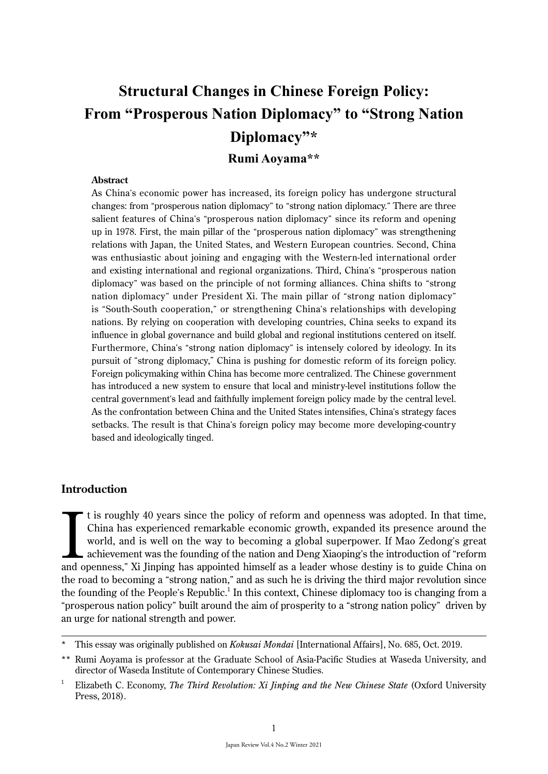# **Structural Changes in Chinese Foreign Policy: From "Prosperous Nation Diplomacy" to "Strong Nation Diplomacy"\***

**Rumi Aoyama\*\***

#### **Abstract**

As China's economic power has increased, its foreign policy has undergone structural changes: from "prosperous nation diplomacy" to "strong nation diplomacy." There are three salient features of China's "prosperous nation diplomacy" since its reform and opening up in 1978. First, the main pillar of the "prosperous nation diplomacy" was strengthening relations with Japan, the United States, and Western European countries. Second, China was enthusiastic about joining and engaging with the Western-led international order and existing international and regional organizations. Third, China's "prosperous nation diplomacy" was based on the principle of not forming alliances. China shifts to "strong nation diplomacy" under President Xi. The main pillar of "strong nation diplomacy" is "South-South cooperation," or strengthening China's relationships with developing nations. By relying on cooperation with developing countries, China seeks to expand its influence in global governance and build global and regional institutions centered on itself. Furthermore, China's "strong nation diplomacy" is intensely colored by ideology. In its pursuit of "strong diplomacy," China is pushing for domestic reform of its foreign policy. Foreign policymaking within China has become more centralized. The Chinese government has introduced a new system to ensure that local and ministry-level institutions follow the central government's lead and faithfully implement foreign policy made by the central level. As the confrontation between China and the United States intensifies, China's strategy faces setbacks. The result is that China's foreign policy may become more developing-country based and ideologically tinged.

# **Introduction**

It is roughly 40 years since the policy of reform and openness was adopted. In that time, China has experienced remarkable economic growth, expanded its presence around the world, and is well on the way to becoming a globa t is roughly 40 years since the policy of reform and openness was adopted. In that time, China has experienced remarkable economic growth, expanded its presence around the world, and is well on the way to becoming a global superpower. If Mao Zedong's great achievement was the founding of the nation and Deng Xiaoping's the introduction of "reform the road to becoming a "strong nation," and as such he is driving the third major revolution since the founding of the People's Republic.<sup>1</sup> In this context, Chinese diplomacy too is changing from a "prosperous nation policy" built around the aim of prosperity to a "strong nation policy" driven by an urge for national strength and power.

<sup>\*</sup> This essay was originally published on *Kokusai Mondai* [International Affairs], No. 685, Oct. 2019.

<sup>\*\*</sup> Rumi Aoyama is professor at the Graduate School of Asia-Pacific Studies at Waseda University, and director of Waseda Institute of Contemporary Chinese Studies.

<sup>&</sup>lt;sup>1</sup> Elizabeth C. Economy, *The Third Revolution: Xi Jinping and the New Chinese State* (Oxford University Press, 2018).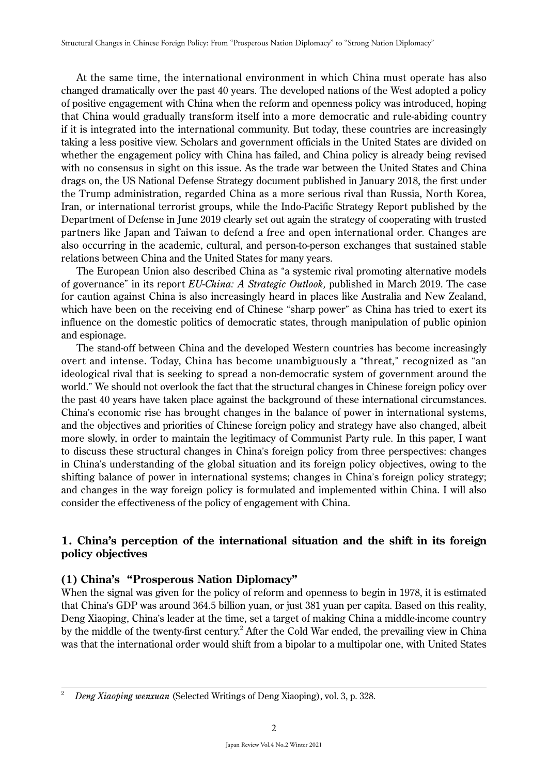At the same time, the international environment in which China must operate has also changed dramatically over the past 40 years. The developed nations of the West adopted a policy of positive engagement with China when the reform and openness policy was introduced, hoping that China would gradually transform itself into a more democratic and rule-abiding country if it is integrated into the international community. But today, these countries are increasingly taking a less positive view. Scholars and government officials in the United States are divided on whether the engagement policy with China has failed, and China policy is already being revised with no consensus in sight on this issue. As the trade war between the United States and China drags on, the US National Defense Strategy document published in January 2018, the first under the Trump administration, regarded China as a more serious rival than Russia, North Korea, Iran, or international terrorist groups, while the Indo-Pacific Strategy Report published by the Department of Defense in June 2019 clearly set out again the strategy of cooperating with trusted partners like Japan and Taiwan to defend a free and open international order. Changes are also occurring in the academic, cultural, and person-to-person exchanges that sustained stable relations between China and the United States for many years.

The European Union also described China as "a systemic rival promoting alternative models of governance" in its report *EU-China: A Strategic Outlook,* published in March 2019. The case for caution against China is also increasingly heard in places like Australia and New Zealand, which have been on the receiving end of Chinese "sharp power" as China has tried to exert its influence on the domestic politics of democratic states, through manipulation of public opinion and espionage.

The stand-off between China and the developed Western countries has become increasingly overt and intense. Today, China has become unambiguously a "threat," recognized as "an ideological rival that is seeking to spread a non-democratic system of government around the world." We should not overlook the fact that the structural changes in Chinese foreign policy over the past 40 years have taken place against the background of these international circumstances. China's economic rise has brought changes in the balance of power in international systems, and the objectives and priorities of Chinese foreign policy and strategy have also changed, albeit more slowly, in order to maintain the legitimacy of Communist Party rule. In this paper, I want to discuss these structural changes in China's foreign policy from three perspectives: changes in China's understanding of the global situation and its foreign policy objectives, owing to the shifting balance of power in international systems; changes in China's foreign policy strategy; and changes in the way foreign policy is formulated and implemented within China. I will also consider the effectiveness of the policy of engagement with China.

# **1. China's perception of the international situation and the shift in its foreign policy objectives**

# **(1) China's "Prosperous Nation Diplomacy"**

When the signal was given for the policy of reform and openness to begin in 1978, it is estimated that China's GDP was around 364.5 billion yuan, or just 381 yuan per capita. Based on this reality, Deng Xiaoping, China's leader at the time, set a target of making China a middle-income country by the middle of the twenty-first century.<sup>2</sup> After the Cold War ended, the prevailing view in China was that the international order would shift from a bipolar to a multipolar one, with United States

<sup>2</sup>*Deng Xiaoping wenxuan* (Selected Writings of Deng Xiaoping), vol. 3, p. 328.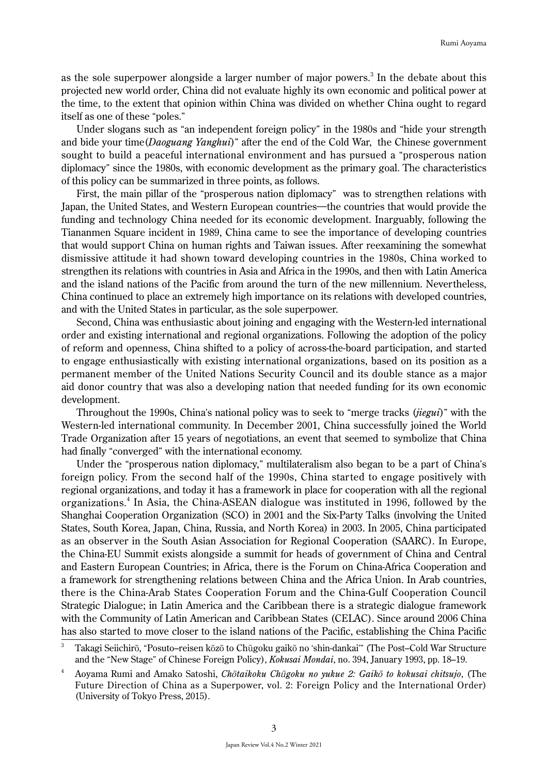as the sole superpower alongside a larger number of major powers.<sup>3</sup> In the debate about this projected new world order, China did not evaluate highly its own economic and political power at the time, to the extent that opinion within China was divided on whether China ought to regard itself as one of these "poles."

Under slogans such as "an independent foreign policy" in the 1980s and "hide your strength and bide your time(*Daoguang Yanghui*)" after the end of the Cold War, the Chinese government sought to build a peaceful international environment and has pursued a "prosperous nation diplomacy" since the 1980s, with economic development as the primary goal. The characteristics of this policy can be summarized in three points, as follows.

First, the main pillar of the "prosperous nation diplomacy" was to strengthen relations with Japan, the United States, and Western European countries―the countries that would provide the funding and technology China needed for its economic development. Inarguably, following the Tiananmen Square incident in 1989, China came to see the importance of developing countries that would support China on human rights and Taiwan issues. After reexamining the somewhat dismissive attitude it had shown toward developing countries in the 1980s, China worked to strengthen its relations with countries in Asia and Africa in the 1990s, and then with Latin America and the island nations of the Pacific from around the turn of the new millennium. Nevertheless, China continued to place an extremely high importance on its relations with developed countries, and with the United States in particular, as the sole superpower.

Second, China was enthusiastic about joining and engaging with the Western-led international order and existing international and regional organizations. Following the adoption of the policy of reform and openness, China shifted to a policy of across-the-board participation, and started to engage enthusiastically with existing international organizations, based on its position as a permanent member of the United Nations Security Council and its double stance as a major aid donor country that was also a developing nation that needed funding for its own economic development.

Throughout the 1990s, China's national policy was to seek to "merge tracks (*jiegui*)" with the Western-led international community. In December 2001, China successfully joined the World Trade Organization after 15 years of negotiations, an event that seemed to symbolize that China had finally "converged" with the international economy.

Under the "prosperous nation diplomacy," multilateralism also began to be a part of China's foreign policy. From the second half of the 1990s, China started to engage positively with regional organizations, and today it has a framework in place for cooperation with all the regional organizations.<sup>4</sup> In Asia, the China-ASEAN dialogue was instituted in 1996, followed by the Shanghai Cooperation Organization (SCO) in 2001 and the Six-Party Talks (involving the United States, South Korea, Japan, China, Russia, and North Korea) in 2003. In 2005, China participated as an observer in the South Asian Association for Regional Cooperation (SAARC). In Europe, the China-EU Summit exists alongside a summit for heads of government of China and Central and Eastern European Countries; in Africa, there is the Forum on China-Africa Cooperation and a framework for strengthening relations between China and the Africa Union. In Arab countries, there is the China-Arab States Cooperation Forum and the China-Gulf Cooperation Council Strategic Dialogue; in Latin America and the Caribbean there is a strategic dialogue framework with the Community of Latin American and Caribbean States (CELAC). Since around 2006 China has also started to move closer to the island nations of the Pacific, establishing the China Pacific

<sup>3</sup> Takagi Seiichirō, "Posuto–reisen kōzō to Chūgoku gaikō no ʻshin-dankai'" (The Post–Cold War Structure and the "New Stage" of Chinese Foreign Policy), *Kokusai Mondai*, no. 394, January 1993, pp. 18–19.

<sup>4</sup> Aoyama Rumi and Amako Satoshi, *Ch*ō*taikoku Ch*ū*goku no yukue 2: Gaik*ō *to kokusai chitsujo*, (The Future Direction of China as a Superpower, vol. 2: Foreign Policy and the International Order) (University of Tokyo Press, 2015).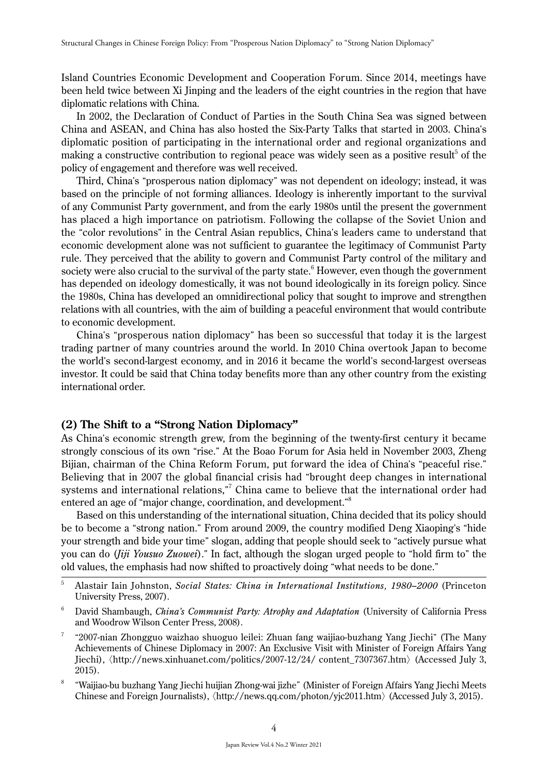Island Countries Economic Development and Cooperation Forum. Since 2014, meetings have been held twice between Xi Jinping and the leaders of the eight countries in the region that have diplomatic relations with China.

In 2002, the Declaration of Conduct of Parties in the South China Sea was signed between China and ASEAN, and China has also hosted the Six-Party Talks that started in 2003. China's diplomatic position of participating in the international order and regional organizations and making a constructive contribution to regional peace was widely seen as a positive result<sup>5</sup> of the policy of engagement and therefore was well received.

Third, China's "prosperous nation diplomacy" was not dependent on ideology; instead, it was based on the principle of not forming alliances. Ideology is inherently important to the survival of any Communist Party government, and from the early 1980s until the present the government has placed a high importance on patriotism. Following the collapse of the Soviet Union and the "color revolutions" in the Central Asian republics, China's leaders came to understand that economic development alone was not sufficient to guarantee the legitimacy of Communist Party rule. They perceived that the ability to govern and Communist Party control of the military and society were also crucial to the survival of the party state.<sup>6</sup> However, even though the government has depended on ideology domestically, it was not bound ideologically in its foreign policy. Since the 1980s, China has developed an omnidirectional policy that sought to improve and strengthen relations with all countries, with the aim of building a peaceful environment that would contribute to economic development.

China's "prosperous nation diplomacy" has been so successful that today it is the largest trading partner of many countries around the world. In 2010 China overtook Japan to become the world's second-largest economy, and in 2016 it became the world's second-largest overseas investor. It could be said that China today benefits more than any other country from the existing international order.

# **(2) The Shift to a "Strong Nation Diplomacy"**

As China's economic strength grew, from the beginning of the twenty-first century it became strongly conscious of its own "rise." At the Boao Forum for Asia held in November 2003, Zheng Bijian, chairman of the China Reform Forum, put forward the idea of China's "peaceful rise." Believing that in 2007 the global financial crisis had "brought deep changes in international systems and international relations," China came to believe that the international order had entered an age of "major change, coordination, and development."<sup>8</sup>

Based on this understanding of the international situation, China decided that its policy should be to become a "strong nation." From around 2009, the country modified Deng Xiaoping's "hide your strength and bide your time" slogan, adding that people should seek to "actively pursue what you can do (*Jiji Yousuo Zuowei*)." In fact, although the slogan urged people to "hold firm to" the old values, the emphasis had now shifted to proactively doing "what needs to be done."

<sup>5</sup> Alastair Iain Johnston, *Social States: China in International Institutions, 1980–2000* (Princeton University Press, 2007).

<sup>6</sup> David Shambaugh, *China's Communist Party: Atrophy and Adaptation* (University of California Press and Woodrow Wilson Center Press, 2008).

<sup>7</sup>"2007-nian Zhongguo waizhao shuoguo leilei: Zhuan fang waijiao-buzhang Yang Jiechi" (The Many Achievements of Chinese Diplomacy in 2007: An Exclusive Visit with Minister of Foreign Affairs Yang Jiechi), 〈http://news.xinhuanet.com/politics/2007-12/24/ content\_7307367.htm〉 (Accessed July 3, 2015).

<sup>8</sup>"Waijiao-bu buzhang Yang Jiechi huijian Zhong-wai jizhe" (Minister of Foreign Affairs Yang Jiechi Meets Chinese and Foreign Journalists), 〈http://news.qq.com/photon/yjc2011.htm〉 (Accessed July 3, 2015).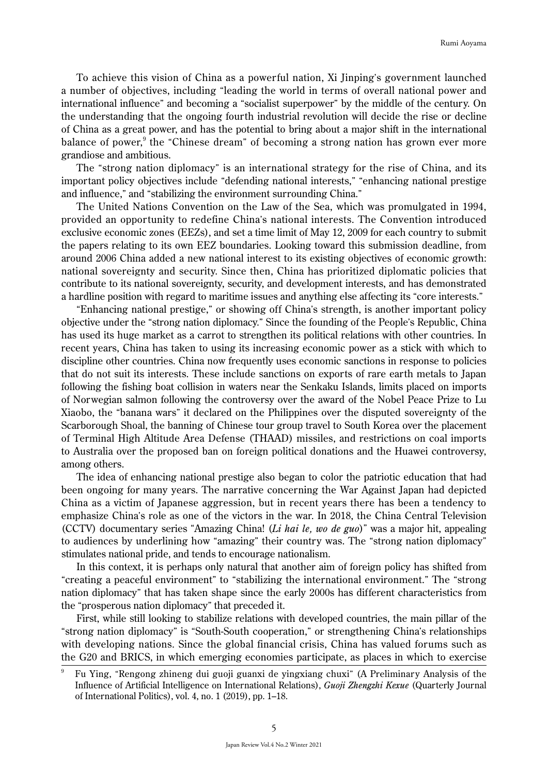To achieve this vision of China as a powerful nation, Xi Jinping's government launched a number of objectives, including "leading the world in terms of overall national power and international influence" and becoming a "socialist superpower" by the middle of the century. On the understanding that the ongoing fourth industrial revolution will decide the rise or decline of China as a great power, and has the potential to bring about a major shift in the international balance of power,<sup>9</sup> the "Chinese dream" of becoming a strong nation has grown ever more grandiose and ambitious.

The "strong nation diplomacy" is an international strategy for the rise of China, and its important policy objectives include "defending national interests," "enhancing national prestige and influence," and "stabilizing the environment surrounding China."

The United Nations Convention on the Law of the Sea, which was promulgated in 1994, provided an opportunity to redefine China's national interests. The Convention introduced exclusive economic zones (EEZs), and set a time limit of May 12, 2009 for each country to submit the papers relating to its own EEZ boundaries. Looking toward this submission deadline, from around 2006 China added a new national interest to its existing objectives of economic growth: national sovereignty and security. Since then, China has prioritized diplomatic policies that contribute to its national sovereignty, security, and development interests, and has demonstrated a hardline position with regard to maritime issues and anything else affecting its "core interests."

"Enhancing national prestige," or showing off China's strength, is another important policy objective under the "strong nation diplomacy." Since the founding of the People's Republic, China has used its huge market as a carrot to strengthen its political relations with other countries. In recent years, China has taken to using its increasing economic power as a stick with which to discipline other countries. China now frequently uses economic sanctions in response to policies that do not suit its interests. These include sanctions on exports of rare earth metals to Japan following the fishing boat collision in waters near the Senkaku Islands, limits placed on imports of Norwegian salmon following the controversy over the award of the Nobel Peace Prize to Lu Xiaobo, the "banana wars" it declared on the Philippines over the disputed sovereignty of the Scarborough Shoal, the banning of Chinese tour group travel to South Korea over the placement of Terminal High Altitude Area Defense (THAAD) missiles, and restrictions on coal imports to Australia over the proposed ban on foreign political donations and the Huawei controversy, among others.

The idea of enhancing national prestige also began to color the patriotic education that had been ongoing for many years. The narrative concerning the War Against Japan had depicted China as a victim of Japanese aggression, but in recent years there has been a tendency to emphasize China's role as one of the victors in the war. In 2018, the China Central Television (CCTV) documentary series "Amazing China! (*Li hai le, wo de guo*)" was a major hit, appealing to audiences by underlining how "amazing" their country was. The "strong nation diplomacy" stimulates national pride, and tends to encourage nationalism.

In this context, it is perhaps only natural that another aim of foreign policy has shifted from "creating a peaceful environment" to "stabilizing the international environment." The "strong nation diplomacy" that has taken shape since the early 2000s has different characteristics from the "prosperous nation diplomacy" that preceded it.

First, while still looking to stabilize relations with developed countries, the main pillar of the "strong nation diplomacy" is "South-South cooperation," or strengthening China's relationships with developing nations. Since the global financial crisis, China has valued forums such as the G20 and BRICS, in which emerging economies participate, as places in which to exercise

<sup>9</sup> Fu Ying, "Rengong zhineng dui guoji guanxi de yingxiang chuxi" (A Preliminary Analysis of the Influence of Artificial Intelligence on International Relations), *Guoji Zhengzhi Kexue* (Quarterly Journal of International Politics), vol. 4, no. 1 (2019), pp. 1–18.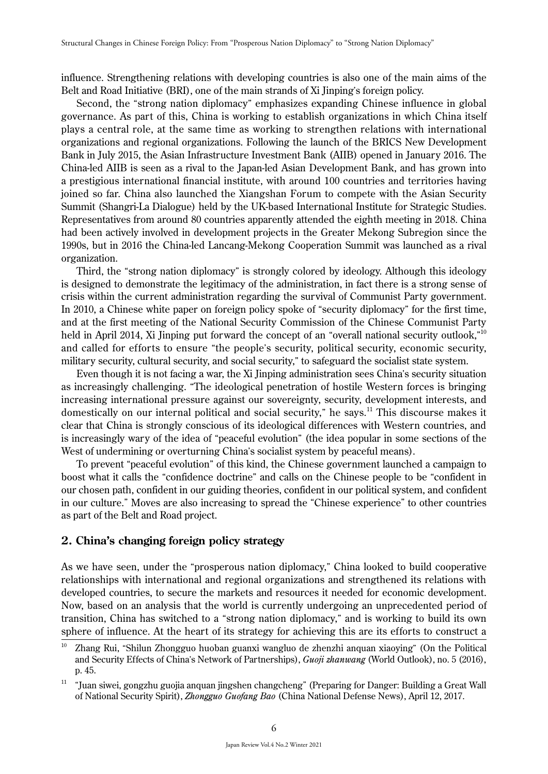influence. Strengthening relations with developing countries is also one of the main aims of the Belt and Road Initiative (BRI), one of the main strands of Xi Jinping's foreign policy.

Second, the "strong nation diplomacy" emphasizes expanding Chinese influence in global governance. As part of this, China is working to establish organizations in which China itself plays a central role, at the same time as working to strengthen relations with international organizations and regional organizations. Following the launch of the BRICS New Development Bank in July 2015, the Asian Infrastructure Investment Bank (AIIB) opened in January 2016. The China-led AIIB is seen as a rival to the Japan-led Asian Development Bank, and has grown into a prestigious international financial institute, with around 100 countries and territories having joined so far. China also launched the Xiangshan Forum to compete with the Asian Security Summit (Shangri-La Dialogue) held by the UK-based International Institute for Strategic Studies. Representatives from around 80 countries apparently attended the eighth meeting in 2018. China had been actively involved in development projects in the Greater Mekong Subregion since the 1990s, but in 2016 the China-led Lancang-Mekong Cooperation Summit was launched as a rival organization.

Third, the "strong nation diplomacy" is strongly colored by ideology. Although this ideology is designed to demonstrate the legitimacy of the administration, in fact there is a strong sense of crisis within the current administration regarding the survival of Communist Party government. In 2010, a Chinese white paper on foreign policy spoke of "security diplomacy" for the first time, and at the first meeting of the National Security Commission of the Chinese Communist Party held in April 2014, Xi Jinping put forward the concept of an "overall national security outlook,"<sup>10</sup> and called for efforts to ensure "the people's security, political security, economic security, military security, cultural security, and social security," to safeguard the socialist state system.

Even though it is not facing a war, the Xi Jinping administration sees China's security situation as increasingly challenging. "The ideological penetration of hostile Western forces is bringing increasing international pressure against our sovereignty, security, development interests, and domestically on our internal political and social security," he says.<sup>11</sup> This discourse makes it clear that China is strongly conscious of its ideological differences with Western countries, and is increasingly wary of the idea of "peaceful evolution" (the idea popular in some sections of the West of undermining or overturning China's socialist system by peaceful means).

To prevent "peaceful evolution" of this kind, the Chinese government launched a campaign to boost what it calls the "confidence doctrine" and calls on the Chinese people to be "confident in our chosen path, confident in our guiding theories, confident in our political system, and confident in our culture." Moves are also increasing to spread the "Chinese experience" to other countries as part of the Belt and Road project.

## **2. China's changing foreign policy strategy**

As we have seen, under the "prosperous nation diplomacy," China looked to build cooperative relationships with international and regional organizations and strengthened its relations with developed countries, to secure the markets and resources it needed for economic development. Now, based on an analysis that the world is currently undergoing an unprecedented period of transition, China has switched to a "strong nation diplomacy," and is working to build its own sphere of influence. At the heart of its strategy for achieving this are its efforts to construct a

<sup>&</sup>lt;sup>10</sup> Zhang Rui, "Shilun Zhongguo huoban guanxi wangluo de zhenzhi anquan xiaoying" (On the Political and Security Effects of China's Network of Partnerships), *Guoji zhanwang* (World Outlook), no. 5 (2016), p. 45.

 $11$  "Juan siwei, gongzhu guojia anquan jingshen changcheng" (Preparing for Danger: Building a Great Wall of National Security Spirit), *Zhongguo Guofang Bao* (China National Defense News), April 12, 2017.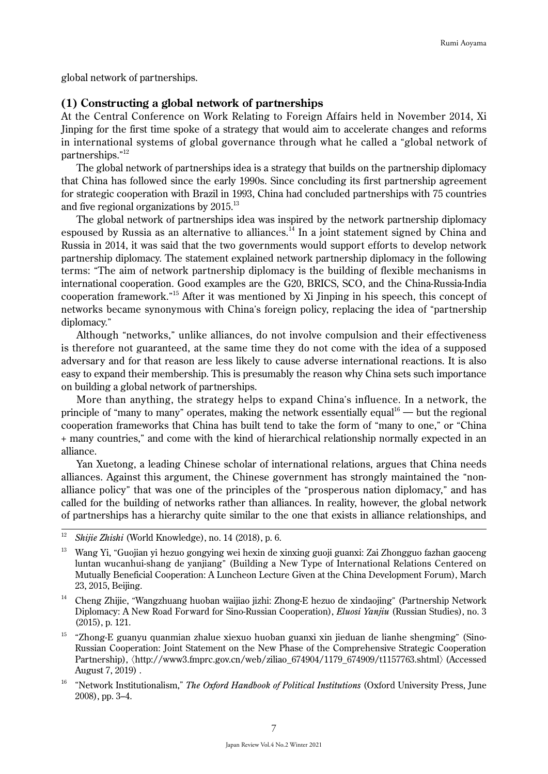global network of partnerships.

### **(1) Constructing a global network of partnerships**

At the Central Conference on Work Relating to Foreign Affairs held in November 2014, Xi Jinping for the first time spoke of a strategy that would aim to accelerate changes and reforms in international systems of global governance through what he called a "global network of partnerships." 12

The global network of partnerships idea is a strategy that builds on the partnership diplomacy that China has followed since the early 1990s. Since concluding its first partnership agreement for strategic cooperation with Brazil in 1993, China had concluded partnerships with 75 countries and five regional organizations by 2015.<sup>13</sup>

The global network of partnerships idea was inspired by the network partnership diplomacy espoused by Russia as an alternative to alliances.<sup>14</sup> In a joint statement signed by China and Russia in 2014, it was said that the two governments would support efforts to develop network partnership diplomacy. The statement explained network partnership diplomacy in the following terms: "The aim of network partnership diplomacy is the building of flexible mechanisms in international cooperation. Good examples are the G20, BRICS, SCO, and the China-Russia-India cooperation framework." 15 After it was mentioned by Xi Jinping in his speech, this concept of networks became synonymous with China's foreign policy, replacing the idea of "partnership diplomacy."

Although "networks," unlike alliances, do not involve compulsion and their effectiveness is therefore not guaranteed, at the same time they do not come with the idea of a supposed adversary and for that reason are less likely to cause adverse international reactions. It is also easy to expand their membership. This is presumably the reason why China sets such importance on building a global network of partnerships.

More than anything, the strategy helps to expand China's influence. In a network, the principle of "many to many" operates, making the network essentially equal<sup>16</sup> — but the regional cooperation frameworks that China has built tend to take the form of "many to one," or "China + many countries," and come with the kind of hierarchical relationship normally expected in an alliance.

Yan Xuetong, a leading Chinese scholar of international relations, argues that China needs alliances. Against this argument, the Chinese government has strongly maintained the "nonalliance policy" that was one of the principles of the "prosperous nation diplomacy," and has called for the building of networks rather than alliances. In reality, however, the global network of partnerships has a hierarchy quite similar to the one that exists in alliance relationships, and

<sup>12</sup> *Shijie Zhishi* (World Knowledge), no. 14 (2018), p. 6.

<sup>&</sup>lt;sup>13</sup> Wang Yi, "Guojian yi hezuo gongying wei hexin de xinxing guoji guanxi: Zai Zhongguo fazhan gaoceng luntan wucanhui-shang de yanjiang" (Building a New Type of International Relations Centered on Mutually Beneficial Cooperation: A Luncheon Lecture Given at the China Development Forum), March 23, 2015, Beijing.

<sup>14</sup> Cheng Zhijie, "Wangzhuang huoban waijiao jizhi: Zhong-E hezuo de xindaojing" (Partnership Network Diplomacy: A New Road Forward for Sino-Russian Cooperation), *Eluosi Yanjiu* (Russian Studies), no. 3 (2015), p. 121.

 $15$  "Zhong-E guanyu quanmian zhalue xiexuo huoban guanxi xin jieduan de lianhe shengming" (Sino-Russian Cooperation: Joint Statement on the New Phase of the Comprehensive Strategic Cooperation Partnership), 〈http://www3.fmprc.gov.cn/web/ziliao\_674904/1179\_674909/t1157763.shtml〉(Accessed August 7, 2019) .

<sup>16</sup> "Network Institutionalism," *The Oxford Handbook of Political Institutions* (Oxford University Press, June 2008), pp. 3–4.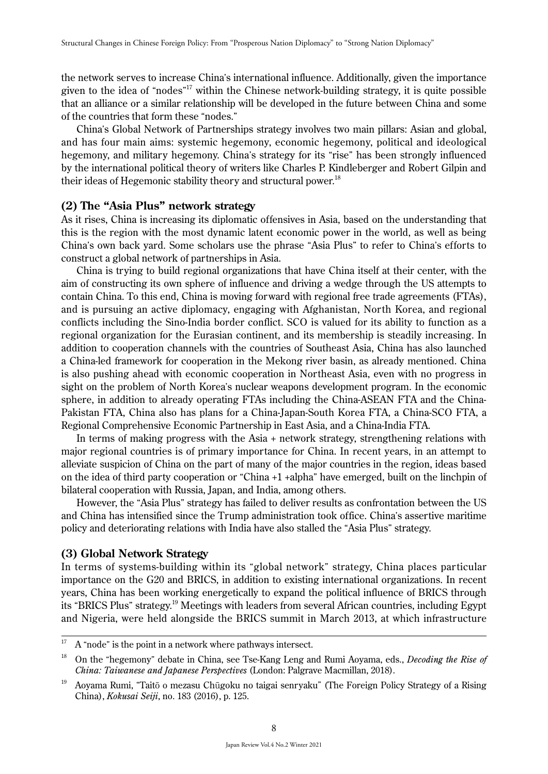the network serves to increase China's international influence. Additionally, given the importance given to the idea of "nodes" 17 within the Chinese network-building strategy, it is quite possible that an alliance or a similar relationship will be developed in the future between China and some of the countries that form these "nodes."

China's Global Network of Partnerships strategy involves two main pillars: Asian and global, and has four main aims: systemic hegemony, economic hegemony, political and ideological hegemony, and military hegemony. China's strategy for its "rise" has been strongly influenced by the international political theory of writers like Charles P. Kindleberger and Robert Gilpin and their ideas of Hegemonic stability theory and structural power.<sup>18</sup>

# **(2) The "Asia Plus" network strategy**

As it rises, China is increasing its diplomatic offensives in Asia, based on the understanding that this is the region with the most dynamic latent economic power in the world, as well as being China's own back yard. Some scholars use the phrase "Asia Plus" to refer to China's efforts to construct a global network of partnerships in Asia.

China is trying to build regional organizations that have China itself at their center, with the aim of constructing its own sphere of influence and driving a wedge through the US attempts to contain China. To this end, China is moving forward with regional free trade agreements (FTAs), and is pursuing an active diplomacy, engaging with Afghanistan, North Korea, and regional conflicts including the Sino-India border conflict. SCO is valued for its ability to function as a regional organization for the Eurasian continent, and its membership is steadily increasing. In addition to cooperation channels with the countries of Southeast Asia, China has also launched a China-led framework for cooperation in the Mekong river basin, as already mentioned. China is also pushing ahead with economic cooperation in Northeast Asia, even with no progress in sight on the problem of North Korea's nuclear weapons development program. In the economic sphere, in addition to already operating FTAs including the China-ASEAN FTA and the China-Pakistan FTA, China also has plans for a China-Japan-South Korea FTA, a China-SCO FTA, a Regional Comprehensive Economic Partnership in East Asia, and a China-India FTA.

In terms of making progress with the Asia + network strategy, strengthening relations with major regional countries is of primary importance for China. In recent years, in an attempt to alleviate suspicion of China on the part of many of the major countries in the region, ideas based on the idea of third party cooperation or "China +1 +alpha" have emerged, built on the linchpin of bilateral cooperation with Russia, Japan, and India, among others.

However, the "Asia Plus" strategy has failed to deliver results as confrontation between the US and China has intensified since the Trump administration took office. China's assertive maritime policy and deteriorating relations with India have also stalled the "Asia Plus" strategy.

## **(3) Global Network Strategy**

In terms of systems-building within its "global network" strategy, China places particular importance on the G20 and BRICS, in addition to existing international organizations. In recent years, China has been working energetically to expand the political influence of BRICS through its "BRICS Plus" strategy.19 Meetings with leaders from several African countries, including Egypt and Nigeria, were held alongside the BRICS summit in March 2013, at which infrastructure

 $17$  A "node" is the point in a network where pathways intersect.

<sup>18</sup> On the "hegemony" debate in China, see Tse-Kang Leng and Rumi Aoyama, eds., *Decoding the Rise of China: Taiwanese and Japanese Perspectives* (London: Palgrave Macmillan, 2018).

<sup>&</sup>lt;sup>19</sup> Aoyama Rumi, "Taitō o mezasu Chūgoku no taigai senryaku" (The Foreign Policy Strategy of a Rising China), *Kokusai Seiji*, no. 183 (2016), p. 125.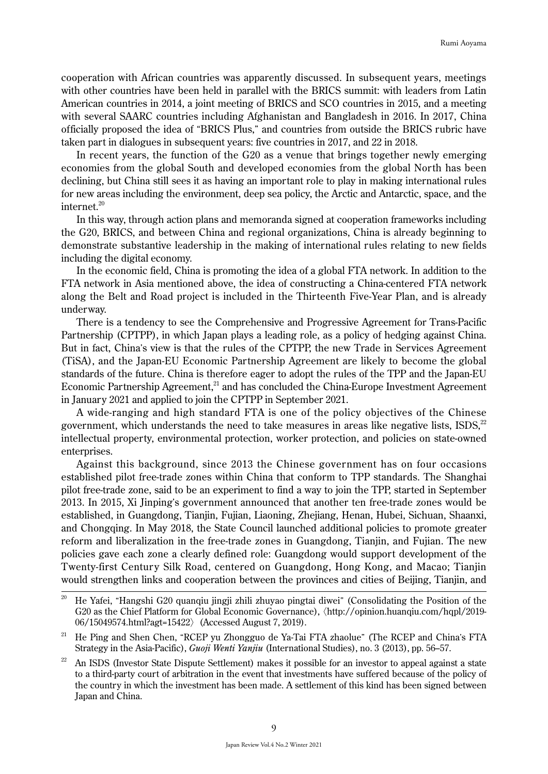cooperation with African countries was apparently discussed. In subsequent years, meetings with other countries have been held in parallel with the BRICS summit: with leaders from Latin American countries in 2014, a joint meeting of BRICS and SCO countries in 2015, and a meeting with several SAARC countries including Afghanistan and Bangladesh in 2016. In 2017, China officially proposed the idea of "BRICS Plus," and countries from outside the BRICS rubric have taken part in dialogues in subsequent years: five countries in 2017, and 22 in 2018.

In recent years, the function of the G20 as a venue that brings together newly emerging economies from the global South and developed economies from the global North has been declining, but China still sees it as having an important role to play in making international rules for new areas including the environment, deep sea policy, the Arctic and Antarctic, space, and the internet.<sup>20</sup>

In this way, through action plans and memoranda signed at cooperation frameworks including the G20, BRICS, and between China and regional organizations, China is already beginning to demonstrate substantive leadership in the making of international rules relating to new fields including the digital economy.

In the economic field, China is promoting the idea of a global FTA network. In addition to the FTA network in Asia mentioned above, the idea of constructing a China-centered FTA network along the Belt and Road project is included in the Thirteenth Five-Year Plan, and is already underway.

There is a tendency to see the Comprehensive and Progressive Agreement for Trans-Pacific Partnership (CPTPP), in which Japan plays a leading role, as a policy of hedging against China. But in fact, China's view is that the rules of the CPTPP, the new Trade in Services Agreement (TiSA), and the Japan-EU Economic Partnership Agreement are likely to become the global standards of the future. China is therefore eager to adopt the rules of the TPP and the Japan-EU Economic Partnership Agreement,<sup>21</sup> and has concluded the China-Europe Investment Agreement in January 2021 and applied to join the CPTPP in September 2021.

A wide-ranging and high standard FTA is one of the policy objectives of the Chinese government, which understands the need to take measures in areas like negative lists, ISDS.<sup>22</sup> intellectual property, environmental protection, worker protection, and policies on state-owned enterprises.

Against this background, since 2013 the Chinese government has on four occasions established pilot free-trade zones within China that conform to TPP standards. The Shanghai pilot free-trade zone, said to be an experiment to find a way to join the TPP, started in September 2013. In 2015, Xi Jinping's government announced that another ten free-trade zones would be established, in Guangdong, Tianjin, Fujian, Liaoning, Zhejiang, Henan, Hubei, Sichuan, Shaanxi, and Chongqing. In May 2018, the State Council launched additional policies to promote greater reform and liberalization in the free-trade zones in Guangdong, Tianjin, and Fujian. The new policies gave each zone a clearly defined role: Guangdong would support development of the Twenty-first Century Silk Road, centered on Guangdong, Hong Kong, and Macao; Tianjin would strengthen links and cooperation between the provinces and cities of Beijing, Tianjin, and

<sup>&</sup>lt;sup>20</sup> He Yafei, "Hangshi G20 quanqiu jingji zhili zhuyao pingtai diwei" (Consolidating the Position of the G20 as the Chief Platform for Global Economic Governance), 〈http://opinion.huanqiu.com/hqpl/2019- 06/15049574.html?agt=15422〉(Accessed August 7, 2019).

<sup>&</sup>lt;sup>21</sup> He Ping and Shen Chen, "RCEP yu Zhongguo de Ya-Tai FTA zhaolue" (The RCEP and China's FTA Strategy in the Asia-Pacific), *Guoji Wenti Yanjiu* (International Studies), no. 3 (2013), pp. 56–57.

An ISDS (Investor State Dispute Settlement) makes it possible for an investor to appeal against a state to a third-party court of arbitration in the event that investments have suffered because of the policy of the country in which the investment has been made. A settlement of this kind has been signed between Japan and China.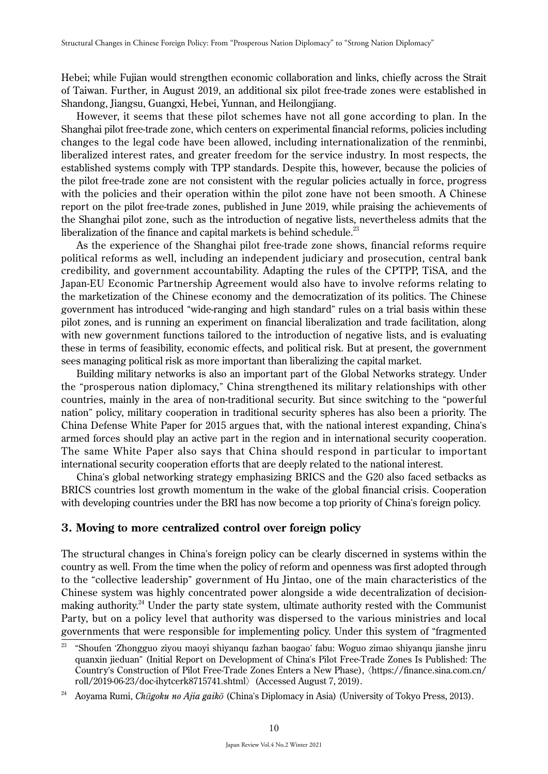Hebei; while Fujian would strengthen economic collaboration and links, chiefly across the Strait of Taiwan. Further, in August 2019, an additional six pilot free-trade zones were established in Shandong, Jiangsu, Guangxi, Hebei, Yunnan, and Heilongjiang.

However, it seems that these pilot schemes have not all gone according to plan. In the Shanghai pilot free-trade zone, which centers on experimental financial reforms, policies including changes to the legal code have been allowed, including internationalization of the renminbi, liberalized interest rates, and greater freedom for the service industry. In most respects, the established systems comply with TPP standards. Despite this, however, because the policies of the pilot free-trade zone are not consistent with the regular policies actually in force, progress with the policies and their operation within the pilot zone have not been smooth. A Chinese report on the pilot free-trade zones, published in June 2019, while praising the achievements of the Shanghai pilot zone, such as the introduction of negative lists, nevertheless admits that the liberalization of the finance and capital markets is behind schedule.<sup>23</sup>

As the experience of the Shanghai pilot free-trade zone shows, financial reforms require political reforms as well, including an independent judiciary and prosecution, central bank credibility, and government accountability. Adapting the rules of the CPTPP, TiSA, and the Japan-EU Economic Partnership Agreement would also have to involve reforms relating to the marketization of the Chinese economy and the democratization of its politics. The Chinese government has introduced "wide-ranging and high standard" rules on a trial basis within these pilot zones, and is running an experiment on financial liberalization and trade facilitation, along with new government functions tailored to the introduction of negative lists, and is evaluating these in terms of feasibility, economic effects, and political risk. But at present, the government sees managing political risk as more important than liberalizing the capital market.

Building military networks is also an important part of the Global Networks strategy. Under the "prosperous nation diplomacy," China strengthened its military relationships with other countries, mainly in the area of non-traditional security. But since switching to the "powerful nation" policy, military cooperation in traditional security spheres has also been a priority. The China Defense White Paper for 2015 argues that, with the national interest expanding, China's armed forces should play an active part in the region and in international security cooperation. The same White Paper also says that China should respond in particular to important international security cooperation efforts that are deeply related to the national interest.

China's global networking strategy emphasizing BRICS and the G20 also faced setbacks as BRICS countries lost growth momentum in the wake of the global financial crisis. Cooperation with developing countries under the BRI has now become a top priority of China's foreign policy.

### **3. Moving to more centralized control over foreign policy**

The structural changes in China's foreign policy can be clearly discerned in systems within the country as well. From the time when the policy of reform and openness was first adopted through to the "collective leadership" government of Hu Jintao, one of the main characteristics of the Chinese system was highly concentrated power alongside a wide decentralization of decisionmaking authority.<sup>24</sup> Under the party state system, ultimate authority rested with the Communist Party, but on a policy level that authority was dispersed to the various ministries and local governments that were responsible for implementing policy. Under this system of "fragmented

<sup>&</sup>lt;sup>23</sup> "Shoufen 'Zhongguo ziyou maoyi shiyanqu fazhan baogao' fabu: Woguo zimao shiyanqu jianshe jinru quanxin jieduan" (Initial Report on Development of China's Pilot Free-Trade Zones Is Published: The Country's Construction of Pilot Free-Trade Zones Enters a New Phase), 〈https://finance.sina.com.cn/ roll/2019-06-23/doc-ihytcerk8715741.shtml〉(Accessed August 7, 2019).

<sup>24</sup> Aoyama Rumi, *Ch*ū*goku no Ajia gaik*ō (China's Diplomacy in Asia) (University of Tokyo Press, 2013).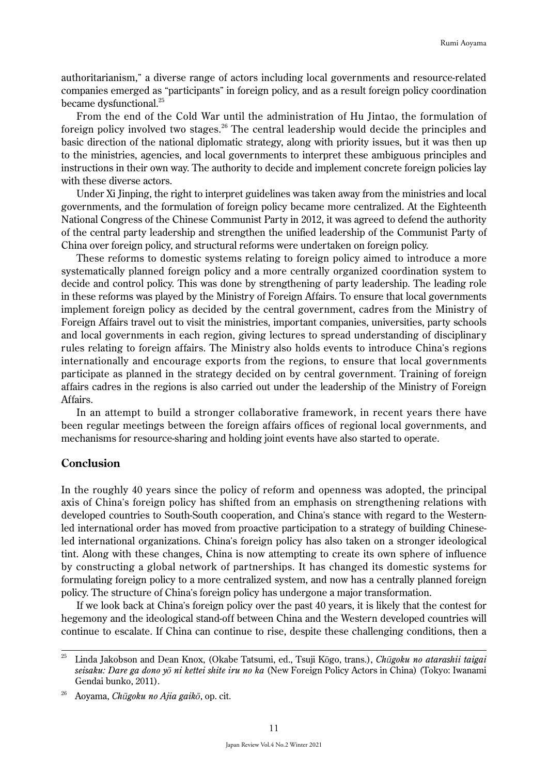authoritarianism," a diverse range of actors including local governments and resource-related companies emerged as "participants" in foreign policy, and as a result foreign policy coordination became dysfunctional.<sup>25</sup>

From the end of the Cold War until the administration of Hu Jintao, the formulation of foreign policy involved two stages. $^{26}$  The central leadership would decide the principles and basic direction of the national diplomatic strategy, along with priority issues, but it was then up to the ministries, agencies, and local governments to interpret these ambiguous principles and instructions in their own way. The authority to decide and implement concrete foreign policies lay with these diverse actors.

Under Xi Jinping, the right to interpret guidelines was taken away from the ministries and local governments, and the formulation of foreign policy became more centralized. At the Eighteenth National Congress of the Chinese Communist Party in 2012, it was agreed to defend the authority of the central party leadership and strengthen the unified leadership of the Communist Party of China over foreign policy, and structural reforms were undertaken on foreign policy.

These reforms to domestic systems relating to foreign policy aimed to introduce a more systematically planned foreign policy and a more centrally organized coordination system to decide and control policy. This was done by strengthening of party leadership. The leading role in these reforms was played by the Ministry of Foreign Affairs. To ensure that local governments implement foreign policy as decided by the central government, cadres from the Ministry of Foreign Affairs travel out to visit the ministries, important companies, universities, party schools and local governments in each region, giving lectures to spread understanding of disciplinary rules relating to foreign affairs. The Ministry also holds events to introduce China's regions internationally and encourage exports from the regions, to ensure that local governments participate as planned in the strategy decided on by central government. Training of foreign affairs cadres in the regions is also carried out under the leadership of the Ministry of Foreign Affairs.

In an attempt to build a stronger collaborative framework, in recent years there have been regular meetings between the foreign affairs offices of regional local governments, and mechanisms for resource-sharing and holding joint events have also started to operate.

## **Conclusion**

In the roughly 40 years since the policy of reform and openness was adopted, the principal axis of China's foreign policy has shifted from an emphasis on strengthening relations with developed countries to South-South cooperation, and China's stance with regard to the Westernled international order has moved from proactive participation to a strategy of building Chineseled international organizations. China's foreign policy has also taken on a stronger ideological tint. Along with these changes, China is now attempting to create its own sphere of influence by constructing a global network of partnerships. It has changed its domestic systems for formulating foreign policy to a more centralized system, and now has a centrally planned foreign policy. The structure of China's foreign policy has undergone a major transformation.

If we look back at China's foreign policy over the past 40 years, it is likely that the contest for hegemony and the ideological stand-off between China and the Western developed countries will continue to escalate. If China can continue to rise, despite these challenging conditions, then a

<sup>25</sup> Linda Jakobson and Dean Knox, (Okabe Tatsumi, ed., Tsuji Kōgo, trans.), *Ch*ū*goku no atarashii taigai seisaku: Dare ga dono y*ō *ni kettei shite iru no ka* (New Foreign Policy Actors in China) (Tokyo: Iwanami Gendai bunko, 2011).

<sup>26</sup> Aoyama, *Ch*ū*goku no Ajia gaik*ō, op. cit.